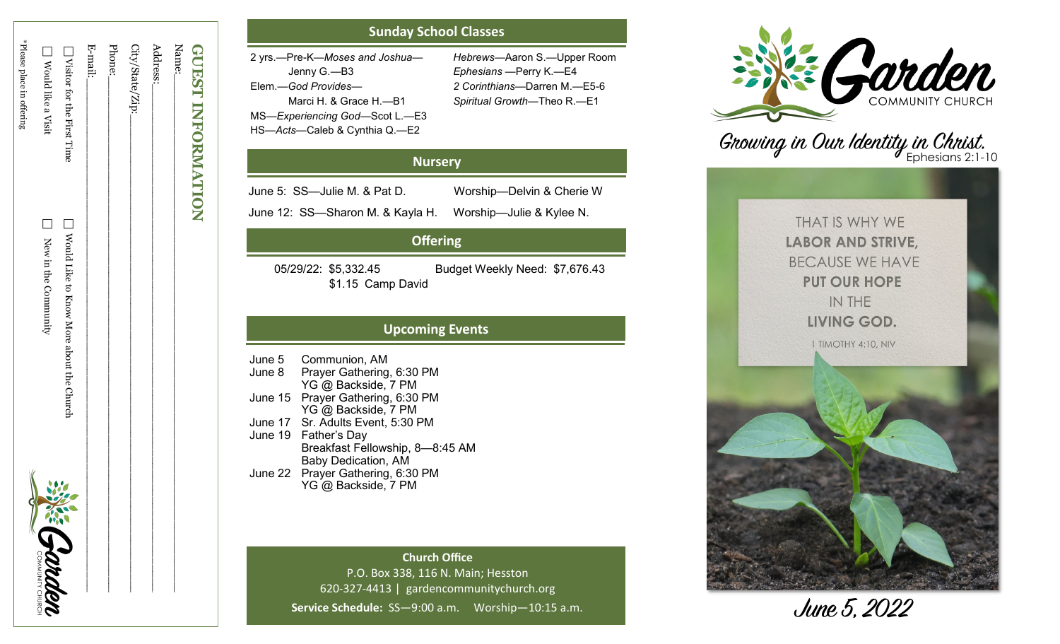| <b>GUEST INFORMATION</b>   |                                          |               |
|----------------------------|------------------------------------------|---------------|
| Name:                      |                                          |               |
| Address:                   |                                          |               |
| City/State/Zip:_           |                                          |               |
| Phone:                     |                                          |               |
| E-mail:                    |                                          |               |
| Nisitor tor the First Time | Nould Like to Know More about the Church |               |
| Nould like a Visit         | New in the Community                     | 佛<br>Corrador |
| *Please place in offering  |                                          | ς             |
|                            |                                          |               |

# **Sunday School Classes**

| 2 yrs.--Pre-K-Moses and Joshua- | <b>Hebrews</b> |
|---------------------------------|----------------|
| Jenny G.—B3                     | <b>Ephesia</b> |
| Elem.—God Provides—             | 2 Corinti      |
| Marci H. & Grace H.-B1          | Spiritual      |
| MS-Experiencing God-Scot L.-E3  |                |
| HS-Acts-Caleb & Cynthia Q.-E2   |                |

*Hebrews* —Aaron S. —Upper Room *Ephesians*  —Perry K. —E4 *2 Corinthians* —Darren M. —E5 - 6 *Spiritual Growth* —Theo R. —E1

# **Nursery**

June 5: SS —Julie M. & Pat D. Worship

June 12: SS —Sharon M. & Kayla H. Worship

Worship-Julie & Kylee N.

Worship-Delvin & Cherie W

# **Offering**

\$1.15 Camp David

05/29/22: \$5,332.45 Budget Weekly Need: \$7,676.43

# **Upcoming Events**

June 5 Communion, AM June 8 Prayer Gathering, 6:30 PM YG @ Backside, 7 PM June 15 Prayer Gathering, 6:30 PM YG @ Backside, 7 PM June 17 Sr. Adults Event, 5:30 PM June 19 Father 's Day Breakfast Fellowship, 8 —8:45 AM Baby Dedication, AM June 22 Prayer Gathering, 6:30 PM YG @ Backside, 7 PM

> **Church Office** P.O. Box 338, 116 N. Main; Hesston 620 -327 -4413 | gardencommunitychurch.org Service Schedule: SS-9:00 a.m. Worship-10:15 a.m.



Growing in Our Identity in Christ.

THAT IS WHY WE **LABOR AND STRIVE, BECAUSE WE HAVE PUT OUR HOPE** IN THE LIVING GOD.

1 TIMOTHY 4:10, NIV



June 5, 2022